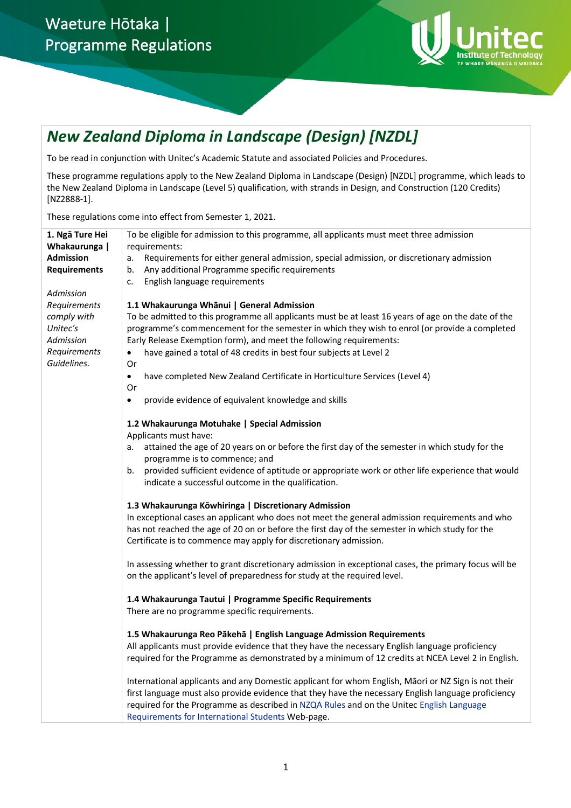# Waeture Hōtaka | Programme Regulations



## *New Zealand Diploma in Landscape (Design) [NZDL]*

To be read in conjunction with Unitec's Academic Statute and associated Policies and Procedures.

These programme regulations apply to the New Zealand Diploma in Landscape (Design) [NZDL] programme, which leads to the New Zealand Diploma in Landscape (Level 5) qualification, with strands in Design, and Construction (120 Credits) [NZ2888-1].

These regulations come into effect from Semester 1, 2021.

| 1. Ngā Ture Hei     | To be eligible for admission to this programme, all applicants must meet three admission                                                                                           |  |  |  |  |  |  |
|---------------------|------------------------------------------------------------------------------------------------------------------------------------------------------------------------------------|--|--|--|--|--|--|
| Whakaurunga         | requirements:                                                                                                                                                                      |  |  |  |  |  |  |
| <b>Admission</b>    | Requirements for either general admission, special admission, or discretionary admission<br>а.                                                                                     |  |  |  |  |  |  |
| <b>Requirements</b> | Any additional Programme specific requirements<br>b.                                                                                                                               |  |  |  |  |  |  |
|                     | English language requirements<br>c.                                                                                                                                                |  |  |  |  |  |  |
| Admission           |                                                                                                                                                                                    |  |  |  |  |  |  |
| Requirements        | 1.1 Whakaurunga Whānui   General Admission                                                                                                                                         |  |  |  |  |  |  |
| comply with         | To be admitted to this programme all applicants must be at least 16 years of age on the date of the                                                                                |  |  |  |  |  |  |
| Unitec's            | programme's commencement for the semester in which they wish to enrol (or provide a completed                                                                                      |  |  |  |  |  |  |
| Admission           | Early Release Exemption form), and meet the following requirements:                                                                                                                |  |  |  |  |  |  |
| Requirements        | have gained a total of 48 credits in best four subjects at Level 2<br>$\bullet$                                                                                                    |  |  |  |  |  |  |
| Guidelines.         | Or                                                                                                                                                                                 |  |  |  |  |  |  |
|                     | have completed New Zealand Certificate in Horticulture Services (Level 4)<br>$\bullet$                                                                                             |  |  |  |  |  |  |
|                     | Or                                                                                                                                                                                 |  |  |  |  |  |  |
|                     | provide evidence of equivalent knowledge and skills<br>٠                                                                                                                           |  |  |  |  |  |  |
|                     |                                                                                                                                                                                    |  |  |  |  |  |  |
|                     | 1.2 Whakaurunga Motuhake   Special Admission<br>Applicants must have:                                                                                                              |  |  |  |  |  |  |
|                     | attained the age of 20 years on or before the first day of the semester in which study for the<br>a.                                                                               |  |  |  |  |  |  |
|                     | programme is to commence; and                                                                                                                                                      |  |  |  |  |  |  |
|                     | provided sufficient evidence of aptitude or appropriate work or other life experience that would<br>b.                                                                             |  |  |  |  |  |  |
|                     | indicate a successful outcome in the qualification.                                                                                                                                |  |  |  |  |  |  |
|                     |                                                                                                                                                                                    |  |  |  |  |  |  |
|                     | 1.3 Whakaurunga Kōwhiringa   Discretionary Admission                                                                                                                               |  |  |  |  |  |  |
|                     | In exceptional cases an applicant who does not meet the general admission requirements and who                                                                                     |  |  |  |  |  |  |
|                     | has not reached the age of 20 on or before the first day of the semester in which study for the                                                                                    |  |  |  |  |  |  |
|                     | Certificate is to commence may apply for discretionary admission.                                                                                                                  |  |  |  |  |  |  |
|                     |                                                                                                                                                                                    |  |  |  |  |  |  |
|                     | In assessing whether to grant discretionary admission in exceptional cases, the primary focus will be<br>on the applicant's level of preparedness for study at the required level. |  |  |  |  |  |  |
|                     |                                                                                                                                                                                    |  |  |  |  |  |  |
|                     | 1.4 Whakaurunga Tautui   Programme Specific Requirements                                                                                                                           |  |  |  |  |  |  |
|                     | There are no programme specific requirements.                                                                                                                                      |  |  |  |  |  |  |
|                     |                                                                                                                                                                                    |  |  |  |  |  |  |
|                     | 1.5 Whakaurunga Reo Pākehā   English Language Admission Requirements                                                                                                               |  |  |  |  |  |  |
|                     | All applicants must provide evidence that they have the necessary English language proficiency                                                                                     |  |  |  |  |  |  |
|                     | required for the Programme as demonstrated by a minimum of 12 credits at NCEA Level 2 in English.                                                                                  |  |  |  |  |  |  |
|                     | International applicants and any Domestic applicant for whom English, Māori or NZ Sign is not their                                                                                |  |  |  |  |  |  |
|                     | first language must also provide evidence that they have the necessary English language proficiency                                                                                |  |  |  |  |  |  |
|                     | required for the Programme as described in NZQA Rules and on the Unitec English Language                                                                                           |  |  |  |  |  |  |
|                     | Requirements for International Students Web-page.                                                                                                                                  |  |  |  |  |  |  |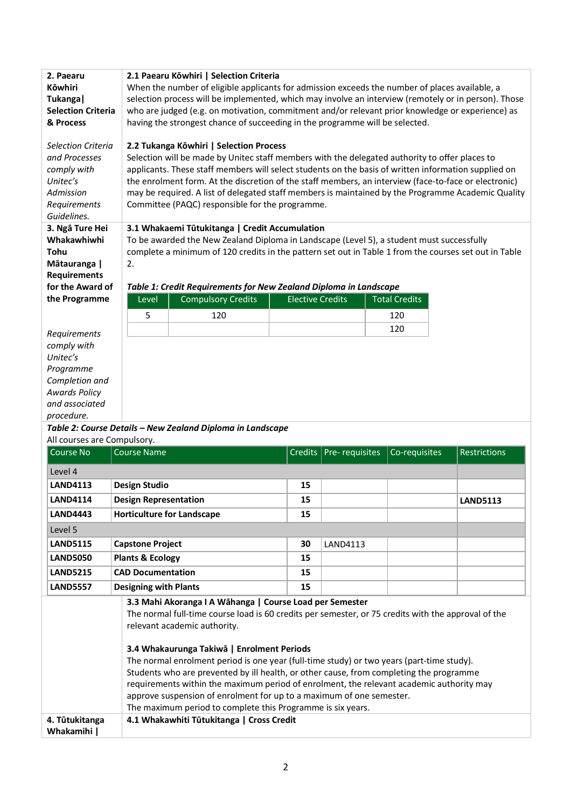| 2. Paearu<br><b>Köwhiri</b><br>Tukanga  <br><b>Selection Criteria</b><br>& Process |                                   | 2.1 Paearu Kōwhiri   Selection Criteria<br>When the number of eligible applicants for admission exceeds the number of places available, a<br>selection process will be implemented, which may involve an interview (remotely or in person). Those<br>who are judged (e.g. on motivation, commitment and/or relevant prior knowledge or experience) as<br>having the strongest chance of succeeding in the programme will be selected. |                         |                           |                      |                 |  |
|------------------------------------------------------------------------------------|-----------------------------------|---------------------------------------------------------------------------------------------------------------------------------------------------------------------------------------------------------------------------------------------------------------------------------------------------------------------------------------------------------------------------------------------------------------------------------------|-------------------------|---------------------------|----------------------|-----------------|--|
| Selection Criteria<br>and Processes                                                |                                   | 2.2 Tukanga Kōwhiri   Selection Process<br>Selection will be made by Unitec staff members with the delegated authority to offer places to                                                                                                                                                                                                                                                                                             |                         |                           |                      |                 |  |
| comply with                                                                        |                                   | applicants. These staff members will select students on the basis of written information supplied on                                                                                                                                                                                                                                                                                                                                  |                         |                           |                      |                 |  |
| Unitec's<br>Admission                                                              |                                   | the enrolment form. At the discretion of the staff members, an interview (face-to-face or electronic)                                                                                                                                                                                                                                                                                                                                 |                         |                           |                      |                 |  |
| Requirements                                                                       |                                   | may be required. A list of delegated staff members is maintained by the Programme Academic Quality<br>Committee (PAQC) responsible for the programme.                                                                                                                                                                                                                                                                                 |                         |                           |                      |                 |  |
| Guidelines.                                                                        |                                   |                                                                                                                                                                                                                                                                                                                                                                                                                                       |                         |                           |                      |                 |  |
| 3. Ngā Ture Hei<br>Whakawhiwhi                                                     |                                   | 3.1 Whakaemi Tūtukitanga   Credit Accumulation<br>To be awarded the New Zealand Diploma in Landscape (Level 5), a student must successfully                                                                                                                                                                                                                                                                                           |                         |                           |                      |                 |  |
| Tohu                                                                               |                                   | complete a minimum of 120 credits in the pattern set out in Table 1 from the courses set out in Table                                                                                                                                                                                                                                                                                                                                 |                         |                           |                      |                 |  |
| Mātauranga                                                                         | 2.                                |                                                                                                                                                                                                                                                                                                                                                                                                                                       |                         |                           |                      |                 |  |
| <b>Requirements</b><br>for the Award of                                            |                                   | Table 1: Credit Requirements for New Zealand Diploma in Landscape                                                                                                                                                                                                                                                                                                                                                                     |                         |                           |                      |                 |  |
| the Programme                                                                      | Level                             | <b>Compulsory Credits</b>                                                                                                                                                                                                                                                                                                                                                                                                             | <b>Elective Credits</b> |                           | <b>Total Credits</b> |                 |  |
|                                                                                    | 5                                 | 120                                                                                                                                                                                                                                                                                                                                                                                                                                   |                         |                           | 120                  |                 |  |
| Requirements                                                                       |                                   |                                                                                                                                                                                                                                                                                                                                                                                                                                       |                         |                           | 120                  |                 |  |
| comply with                                                                        |                                   |                                                                                                                                                                                                                                                                                                                                                                                                                                       |                         |                           |                      |                 |  |
| Unitec's<br>Programme                                                              |                                   |                                                                                                                                                                                                                                                                                                                                                                                                                                       |                         |                           |                      |                 |  |
| Completion and                                                                     |                                   |                                                                                                                                                                                                                                                                                                                                                                                                                                       |                         |                           |                      |                 |  |
| <b>Awards Policy</b>                                                               |                                   |                                                                                                                                                                                                                                                                                                                                                                                                                                       |                         |                           |                      |                 |  |
|                                                                                    |                                   |                                                                                                                                                                                                                                                                                                                                                                                                                                       |                         |                           |                      |                 |  |
| and associated<br>procedure.                                                       |                                   |                                                                                                                                                                                                                                                                                                                                                                                                                                       |                         |                           |                      |                 |  |
|                                                                                    |                                   | Table 2: Course Details - New Zealand Diploma in Landscape                                                                                                                                                                                                                                                                                                                                                                            |                         |                           |                      |                 |  |
| All courses are Compulsory.                                                        |                                   |                                                                                                                                                                                                                                                                                                                                                                                                                                       |                         |                           |                      |                 |  |
| <b>Course No</b>                                                                   | <b>Course Name</b>                |                                                                                                                                                                                                                                                                                                                                                                                                                                       |                         | Credits   Pre- requisites | Co-requisites        | Restrictions    |  |
| Level 4                                                                            |                                   |                                                                                                                                                                                                                                                                                                                                                                                                                                       |                         |                           |                      |                 |  |
| <b>LAND4113</b>                                                                    | <b>Design Studio</b>              |                                                                                                                                                                                                                                                                                                                                                                                                                                       | 15                      |                           |                      |                 |  |
| <b>LAND4114</b><br><b>LAND4443</b>                                                 | <b>Design Representation</b>      |                                                                                                                                                                                                                                                                                                                                                                                                                                       | 15<br>15                |                           |                      | <b>LAND5113</b> |  |
| Level 5                                                                            | <b>Horticulture for Landscape</b> |                                                                                                                                                                                                                                                                                                                                                                                                                                       |                         |                           |                      |                 |  |
| <b>LAND5115</b>                                                                    | <b>Capstone Project</b>           |                                                                                                                                                                                                                                                                                                                                                                                                                                       | 30                      | LAND4113                  |                      |                 |  |
| <b>LAND5050</b>                                                                    | <b>Plants &amp; Ecology</b>       |                                                                                                                                                                                                                                                                                                                                                                                                                                       | 15                      |                           |                      |                 |  |
| <b>LAND5215</b>                                                                    | <b>CAD Documentation</b>          |                                                                                                                                                                                                                                                                                                                                                                                                                                       | 15                      |                           |                      |                 |  |
| <b>LAND5557</b>                                                                    | <b>Designing with Plants</b>      |                                                                                                                                                                                                                                                                                                                                                                                                                                       | 15                      |                           |                      |                 |  |
|                                                                                    |                                   | 3.3 Mahi Akoranga I A Wāhanga   Course Load per Semester<br>The normal full-time course load is 60 credits per semester, or 75 credits with the approval of the<br>relevant academic authority.                                                                                                                                                                                                                                       |                         |                           |                      |                 |  |
|                                                                                    |                                   |                                                                                                                                                                                                                                                                                                                                                                                                                                       |                         |                           |                      |                 |  |
|                                                                                    |                                   | 3.4 Whakaurunga Takiwā   Enrolment Periods                                                                                                                                                                                                                                                                                                                                                                                            |                         |                           |                      |                 |  |
|                                                                                    |                                   | The normal enrolment period is one year (full-time study) or two years (part-time study).<br>Students who are prevented by ill health, or other cause, from completing the programme                                                                                                                                                                                                                                                  |                         |                           |                      |                 |  |
|                                                                                    |                                   | requirements within the maximum period of enrolment, the relevant academic authority may                                                                                                                                                                                                                                                                                                                                              |                         |                           |                      |                 |  |
|                                                                                    |                                   | approve suspension of enrolment for up to a maximum of one semester.                                                                                                                                                                                                                                                                                                                                                                  |                         |                           |                      |                 |  |
| 4. Tūtukitanga                                                                     |                                   | The maximum period to complete this Programme is six years.<br>4.1 Whakawhiti Tūtukitanga   Cross Credit                                                                                                                                                                                                                                                                                                                              |                         |                           |                      |                 |  |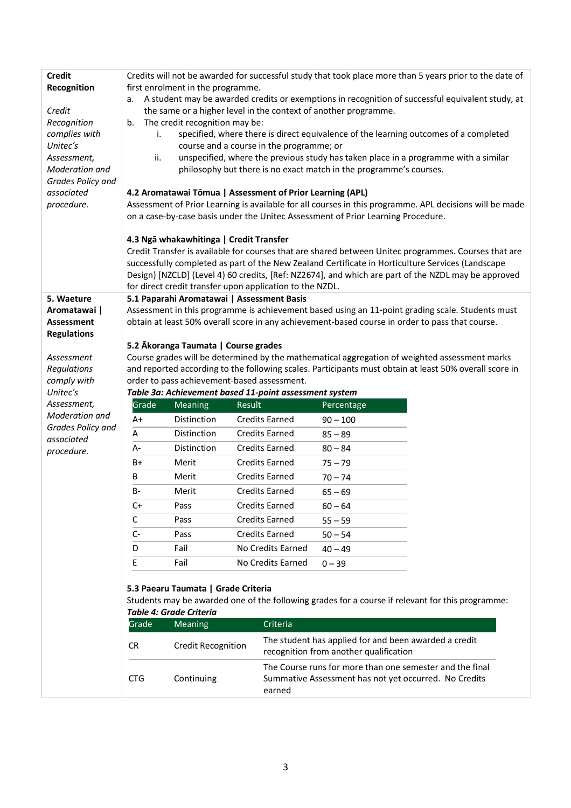| <b>Credit</b><br>Recognition<br>Credit<br>Recognition<br>complies with<br>Unitec's<br>Assessment,<br>Moderation and<br>Grades Policy and<br>associated<br>procedure. | а.<br>b.<br>i.<br>ii.                                                                                                                                                     | first enrolment in the programme.<br>the same or a higher level in the context of another programme.<br>The credit recognition may be:<br>4.2 Aromatawai Tōmua   Assessment of Prior Learning (APL)<br>on a case-by-case basis under the Unitec Assessment of Prior Learning Procedure. |  | course and a course in the programme; or |            | philosophy but there is no exact match in the programme's courses. | Credits will not be awarded for successful study that took place more than 5 years prior to the date of<br>A student may be awarded credits or exemptions in recognition of successful equivalent study, at<br>specified, where there is direct equivalence of the learning outcomes of a completed<br>unspecified, where the previous study has taken place in a programme with a similar | Assessment of Prior Learning is available for all courses in this programme. APL decisions will be made |
|----------------------------------------------------------------------------------------------------------------------------------------------------------------------|---------------------------------------------------------------------------------------------------------------------------------------------------------------------------|-----------------------------------------------------------------------------------------------------------------------------------------------------------------------------------------------------------------------------------------------------------------------------------------|--|------------------------------------------|------------|--------------------------------------------------------------------|--------------------------------------------------------------------------------------------------------------------------------------------------------------------------------------------------------------------------------------------------------------------------------------------------------------------------------------------------------------------------------------------|---------------------------------------------------------------------------------------------------------|
|                                                                                                                                                                      |                                                                                                                                                                           | 4.3 Ngā whakawhitinga   Credit Transfer<br>for direct credit transfer upon application to the NZDL.                                                                                                                                                                                     |  |                                          |            |                                                                    | Credit Transfer is available for courses that are shared between Unitec programmes. Courses that are<br>successfully completed as part of the New Zealand Certificate in Horticulture Services (Landscape<br>Design) [NZCLD] (Level 4) 60 credits, [Ref: NZ2674], and which are part of the NZDL may be approved                                                                           |                                                                                                         |
| 5. Waeture                                                                                                                                                           |                                                                                                                                                                           | 5.1 Paparahi Aromatawai   Assessment Basis                                                                                                                                                                                                                                              |  |                                          |            |                                                                    |                                                                                                                                                                                                                                                                                                                                                                                            |                                                                                                         |
| Aromatawai  <br><b>Assessment</b>                                                                                                                                    |                                                                                                                                                                           |                                                                                                                                                                                                                                                                                         |  |                                          |            |                                                                    | Assessment in this programme is achievement based using an 11-point grading scale. Students must<br>obtain at least 50% overall score in any achievement-based course in order to pass that course.                                                                                                                                                                                        |                                                                                                         |
| <b>Regulations</b>                                                                                                                                                   |                                                                                                                                                                           |                                                                                                                                                                                                                                                                                         |  |                                          |            |                                                                    |                                                                                                                                                                                                                                                                                                                                                                                            |                                                                                                         |
|                                                                                                                                                                      |                                                                                                                                                                           | 5.2 Ākoranga Taumata   Course grades                                                                                                                                                                                                                                                    |  |                                          |            |                                                                    |                                                                                                                                                                                                                                                                                                                                                                                            |                                                                                                         |
| Assessment                                                                                                                                                           |                                                                                                                                                                           |                                                                                                                                                                                                                                                                                         |  |                                          |            |                                                                    | Course grades will be determined by the mathematical aggregation of weighted assessment marks                                                                                                                                                                                                                                                                                              |                                                                                                         |
| Regulations                                                                                                                                                          |                                                                                                                                                                           |                                                                                                                                                                                                                                                                                         |  |                                          |            |                                                                    | and reported according to the following scales. Participants must obtain at least 50% overall score in                                                                                                                                                                                                                                                                                     |                                                                                                         |
| comply with<br>Unitec's                                                                                                                                              |                                                                                                                                                                           | order to pass achievement-based assessment.                                                                                                                                                                                                                                             |  |                                          |            |                                                                    |                                                                                                                                                                                                                                                                                                                                                                                            |                                                                                                         |
| Assessment,                                                                                                                                                          | Table 3a: Achievement based 11-point assessment system<br>Grade<br><b>Result</b><br>Meaning<br>Percentage                                                                 |                                                                                                                                                                                                                                                                                         |  |                                          |            |                                                                    |                                                                                                                                                                                                                                                                                                                                                                                            |                                                                                                         |
| Moderation and                                                                                                                                                       | A+                                                                                                                                                                        | Distinction                                                                                                                                                                                                                                                                             |  | <b>Credits Earned</b>                    | $90 - 100$ |                                                                    |                                                                                                                                                                                                                                                                                                                                                                                            |                                                                                                         |
| Grades Policy and                                                                                                                                                    | A                                                                                                                                                                         | Distinction                                                                                                                                                                                                                                                                             |  | <b>Credits Earned</b>                    | $85 - 89$  |                                                                    |                                                                                                                                                                                                                                                                                                                                                                                            |                                                                                                         |
| associated                                                                                                                                                           | A-                                                                                                                                                                        | Distinction                                                                                                                                                                                                                                                                             |  | <b>Credits Earned</b>                    |            |                                                                    |                                                                                                                                                                                                                                                                                                                                                                                            |                                                                                                         |
| procedure.                                                                                                                                                           |                                                                                                                                                                           |                                                                                                                                                                                                                                                                                         |  |                                          | $80 - 84$  |                                                                    |                                                                                                                                                                                                                                                                                                                                                                                            |                                                                                                         |
|                                                                                                                                                                      | B+                                                                                                                                                                        | Merit                                                                                                                                                                                                                                                                                   |  | <b>Credits Earned</b>                    | $75 - 79$  |                                                                    |                                                                                                                                                                                                                                                                                                                                                                                            |                                                                                                         |
|                                                                                                                                                                      | В                                                                                                                                                                         | Merit                                                                                                                                                                                                                                                                                   |  | <b>Credits Earned</b>                    | $70 - 74$  |                                                                    |                                                                                                                                                                                                                                                                                                                                                                                            |                                                                                                         |
|                                                                                                                                                                      | B-                                                                                                                                                                        | Merit                                                                                                                                                                                                                                                                                   |  | <b>Credits Earned</b>                    | $65 - 69$  |                                                                    |                                                                                                                                                                                                                                                                                                                                                                                            |                                                                                                         |
|                                                                                                                                                                      | $C+$                                                                                                                                                                      | Pass                                                                                                                                                                                                                                                                                    |  | <b>Credits Earned</b>                    | $60 - 64$  |                                                                    |                                                                                                                                                                                                                                                                                                                                                                                            |                                                                                                         |
|                                                                                                                                                                      | C                                                                                                                                                                         | Pass                                                                                                                                                                                                                                                                                    |  | <b>Credits Earned</b>                    | $55 - 59$  |                                                                    |                                                                                                                                                                                                                                                                                                                                                                                            |                                                                                                         |
|                                                                                                                                                                      | $C-$                                                                                                                                                                      | Pass                                                                                                                                                                                                                                                                                    |  | <b>Credits Earned</b>                    | $50 - 54$  |                                                                    |                                                                                                                                                                                                                                                                                                                                                                                            |                                                                                                         |
|                                                                                                                                                                      | D                                                                                                                                                                         | Fail                                                                                                                                                                                                                                                                                    |  | No Credits Earned                        | $40 - 49$  |                                                                    |                                                                                                                                                                                                                                                                                                                                                                                            |                                                                                                         |
|                                                                                                                                                                      | E                                                                                                                                                                         | Fail                                                                                                                                                                                                                                                                                    |  | No Credits Earned                        | $0 - 39$   |                                                                    |                                                                                                                                                                                                                                                                                                                                                                                            |                                                                                                         |
|                                                                                                                                                                      | 5.3 Paearu Taumata   Grade Criteria<br>Students may be awarded one of the following grades for a course if relevant for this programme:<br><b>Table 4: Grade Criteria</b> |                                                                                                                                                                                                                                                                                         |  |                                          |            |                                                                    |                                                                                                                                                                                                                                                                                                                                                                                            |                                                                                                         |
|                                                                                                                                                                      | Grade                                                                                                                                                                     | Meaning                                                                                                                                                                                                                                                                                 |  | Criteria                                 |            |                                                                    |                                                                                                                                                                                                                                                                                                                                                                                            |                                                                                                         |
|                                                                                                                                                                      | <b>CR</b>                                                                                                                                                                 | <b>Credit Recognition</b>                                                                                                                                                                                                                                                               |  |                                          |            | recognition from another qualification                             | The student has applied for and been awarded a credit                                                                                                                                                                                                                                                                                                                                      |                                                                                                         |
|                                                                                                                                                                      | <b>CTG</b>                                                                                                                                                                | Continuing                                                                                                                                                                                                                                                                              |  | earned                                   |            |                                                                    | The Course runs for more than one semester and the final<br>Summative Assessment has not yet occurred. No Credits                                                                                                                                                                                                                                                                          |                                                                                                         |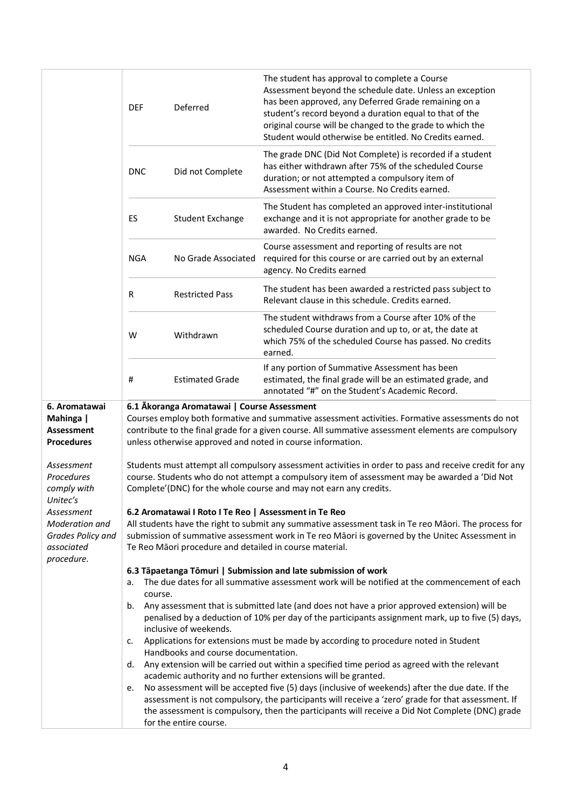|                                                     | <b>DEF</b>                                                                                                                                                                                              | Deferred                                              | The student has approval to complete a Course<br>Assessment beyond the schedule date. Unless an exception<br>has been approved, any Deferred Grade remaining on a<br>student's record beyond a duration equal to that of the<br>original course will be changed to the grade to which the<br>Student would otherwise be entitled. No Credits earned. |  |
|-----------------------------------------------------|---------------------------------------------------------------------------------------------------------------------------------------------------------------------------------------------------------|-------------------------------------------------------|------------------------------------------------------------------------------------------------------------------------------------------------------------------------------------------------------------------------------------------------------------------------------------------------------------------------------------------------------|--|
|                                                     | <b>DNC</b>                                                                                                                                                                                              | Did not Complete                                      | The grade DNC (Did Not Complete) is recorded if a student<br>has either withdrawn after 75% of the scheduled Course<br>duration; or not attempted a compulsory item of<br>Assessment within a Course. No Credits earned.                                                                                                                             |  |
|                                                     | ES                                                                                                                                                                                                      | <b>Student Exchange</b>                               | The Student has completed an approved inter-institutional<br>exchange and it is not appropriate for another grade to be<br>awarded. No Credits earned.                                                                                                                                                                                               |  |
|                                                     | <b>NGA</b>                                                                                                                                                                                              | No Grade Associated                                   | Course assessment and reporting of results are not<br>required for this course or are carried out by an external<br>agency. No Credits earned                                                                                                                                                                                                        |  |
|                                                     | R                                                                                                                                                                                                       | <b>Restricted Pass</b>                                | The student has been awarded a restricted pass subject to<br>Relevant clause in this schedule. Credits earned.                                                                                                                                                                                                                                       |  |
|                                                     | W                                                                                                                                                                                                       | Withdrawn                                             | The student withdraws from a Course after 10% of the<br>scheduled Course duration and up to, or at, the date at<br>which 75% of the scheduled Course has passed. No credits<br>earned.                                                                                                                                                               |  |
|                                                     | #                                                                                                                                                                                                       | <b>Estimated Grade</b>                                | If any portion of Summative Assessment has been<br>estimated, the final grade will be an estimated grade, and<br>annotated "#" on the Student's Academic Record.                                                                                                                                                                                     |  |
| 6. Aromatawai                                       |                                                                                                                                                                                                         | 6.1 Akoranga Aromatawai   Course Assessment           |                                                                                                                                                                                                                                                                                                                                                      |  |
| Mahinga  <br><b>Assessment</b><br><b>Procedures</b> |                                                                                                                                                                                                         |                                                       | Courses employ both formative and summative assessment activities. Formative assessments do not<br>contribute to the final grade for a given course. All summative assessment elements are compulsory<br>unless otherwise approved and noted in course information.                                                                                  |  |
| Assessment                                          |                                                                                                                                                                                                         |                                                       |                                                                                                                                                                                                                                                                                                                                                      |  |
| Procedures                                          | Students must attempt all compulsory assessment activities in order to pass and receive credit for any<br>course. Students who do not attempt a compulsory item of assessment may be awarded a 'Did Not |                                                       |                                                                                                                                                                                                                                                                                                                                                      |  |
| comply with<br>Unitec's                             |                                                                                                                                                                                                         |                                                       | Complete'(DNC) for the whole course and may not earn any credits.                                                                                                                                                                                                                                                                                    |  |
| Assessment                                          |                                                                                                                                                                                                         | 6.2 Aromatawai I Roto I Te Reo   Assessment in Te Reo |                                                                                                                                                                                                                                                                                                                                                      |  |
| Moderation and                                      |                                                                                                                                                                                                         |                                                       | All students have the right to submit any summative assessment task in Te reo Māori. The process for                                                                                                                                                                                                                                                 |  |
| Grades Policy and                                   | submission of summative assessment work in Te reo Māori is governed by the Unitec Assessment in                                                                                                         |                                                       |                                                                                                                                                                                                                                                                                                                                                      |  |
| associated                                          | Te Reo Māori procedure and detailed in course material.                                                                                                                                                 |                                                       |                                                                                                                                                                                                                                                                                                                                                      |  |
| procedure.                                          |                                                                                                                                                                                                         |                                                       |                                                                                                                                                                                                                                                                                                                                                      |  |
|                                                     |                                                                                                                                                                                                         |                                                       | 6.3 Tāpaetanga Tōmuri   Submission and late submission of work<br>The due dates for all summative assessment work will be notified at the commencement of each                                                                                                                                                                                       |  |
|                                                     | a.<br>course.                                                                                                                                                                                           |                                                       |                                                                                                                                                                                                                                                                                                                                                      |  |
|                                                     |                                                                                                                                                                                                         |                                                       |                                                                                                                                                                                                                                                                                                                                                      |  |
|                                                     | b.                                                                                                                                                                                                      |                                                       |                                                                                                                                                                                                                                                                                                                                                      |  |
|                                                     |                                                                                                                                                                                                         |                                                       | Any assessment that is submitted late (and does not have a prior approved extension) will be<br>penalised by a deduction of 10% per day of the participants assignment mark, up to five (5) days,                                                                                                                                                    |  |
|                                                     |                                                                                                                                                                                                         | inclusive of weekends.                                |                                                                                                                                                                                                                                                                                                                                                      |  |
|                                                     | c.                                                                                                                                                                                                      |                                                       | Applications for extensions must be made by according to procedure noted in Student                                                                                                                                                                                                                                                                  |  |
|                                                     |                                                                                                                                                                                                         | Handbooks and course documentation.                   |                                                                                                                                                                                                                                                                                                                                                      |  |
|                                                     | d.                                                                                                                                                                                                      |                                                       | Any extension will be carried out within a specified time period as agreed with the relevant                                                                                                                                                                                                                                                         |  |
|                                                     |                                                                                                                                                                                                         |                                                       | academic authority and no further extensions will be granted.                                                                                                                                                                                                                                                                                        |  |
|                                                     | e.                                                                                                                                                                                                      |                                                       | No assessment will be accepted five (5) days (inclusive of weekends) after the due date. If the<br>assessment is not compulsory, the participants will receive a 'zero' grade for that assessment. If                                                                                                                                                |  |
|                                                     |                                                                                                                                                                                                         |                                                       | the assessment is compulsory, then the participants will receive a Did Not Complete (DNC) grade                                                                                                                                                                                                                                                      |  |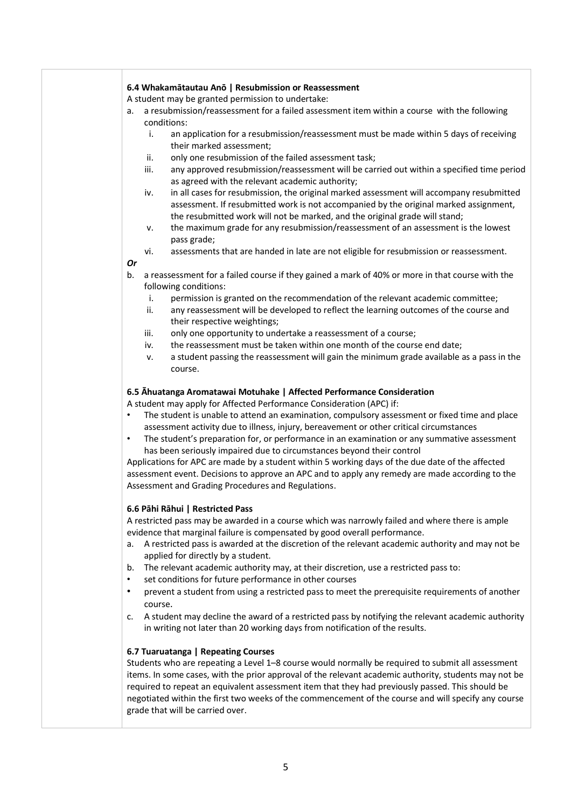### **6.4 Whakamātautau Anō | Resubmission or Reassessment**

A student may be granted permission to undertake:

- a. a resubmission/reassessment for a failed assessment item within a course with the following conditions:
	- i. an application for a resubmission/reassessment must be made within 5 days of receiving their marked assessment;
	- ii. only one resubmission of the failed assessment task;
	- iii. any approved resubmission/reassessment will be carried out within a specified time period as agreed with the relevant academic authority;
	- iv. in all cases for resubmission, the original marked assessment will accompany resubmitted assessment. If resubmitted work is not accompanied by the original marked assignment, the resubmitted work will not be marked, and the original grade will stand;
	- v. the maximum grade for any resubmission/reassessment of an assessment is the lowest pass grade;
- vi. assessments that are handed in late are not eligible for resubmission or reassessment. *Or*
- b. a reassessment for a failed course if they gained a mark of 40% or more in that course with the following conditions:
	- i. permission is granted on the recommendation of the relevant academic committee;
	- ii. any reassessment will be developed to reflect the learning outcomes of the course and their respective weightings;
	- iii. only one opportunity to undertake a reassessment of a course;
	- iv. the reassessment must be taken within one month of the course end date;
	- v. a student passing the reassessment will gain the minimum grade available as a pass in the course.

### **6.5 Āhuatanga Aromatawai Motuhake | Affected Performance Consideration**

A student may apply for Affected Performance Consideration (APC) if:

- The student is unable to attend an examination, compulsory assessment or fixed time and place assessment activity due to illness, injury, bereavement or other critical circumstances
- The student's preparation for, or performance in an examination or any summative assessment has been seriously impaired due to circumstances beyond their control

Applications for APC are made by a student within 5 working days of the due date of the affected assessment event. Decisions to approve an APC and to apply any remedy are made according to the Assessment and Grading Procedures and Regulations.

### **6.6 Pāhi Rāhui | Restricted Pass**

A restricted pass may be awarded in a course which was narrowly failed and where there is ample evidence that marginal failure is compensated by good overall performance.

- a. A restricted pass is awarded at the discretion of the relevant academic authority and may not be applied for directly by a student.
- b. The relevant academic authority may, at their discretion, use a restricted pass to:
- set conditions for future performance in other courses
- prevent a student from using a restricted pass to meet the prerequisite requirements of another course.
- c. A student may decline the award of a restricted pass by notifying the relevant academic authority in writing not later than 20 working days from notification of the results.

#### **6.7 Tuaruatanga | Repeating Courses**

Students who are repeating a Level 1–8 course would normally be required to submit all assessment items. In some cases, with the prior approval of the relevant academic authority, students may not be required to repeat an equivalent assessment item that they had previously passed. This should be negotiated within the first two weeks of the commencement of the course and will specify any course grade that will be carried over.